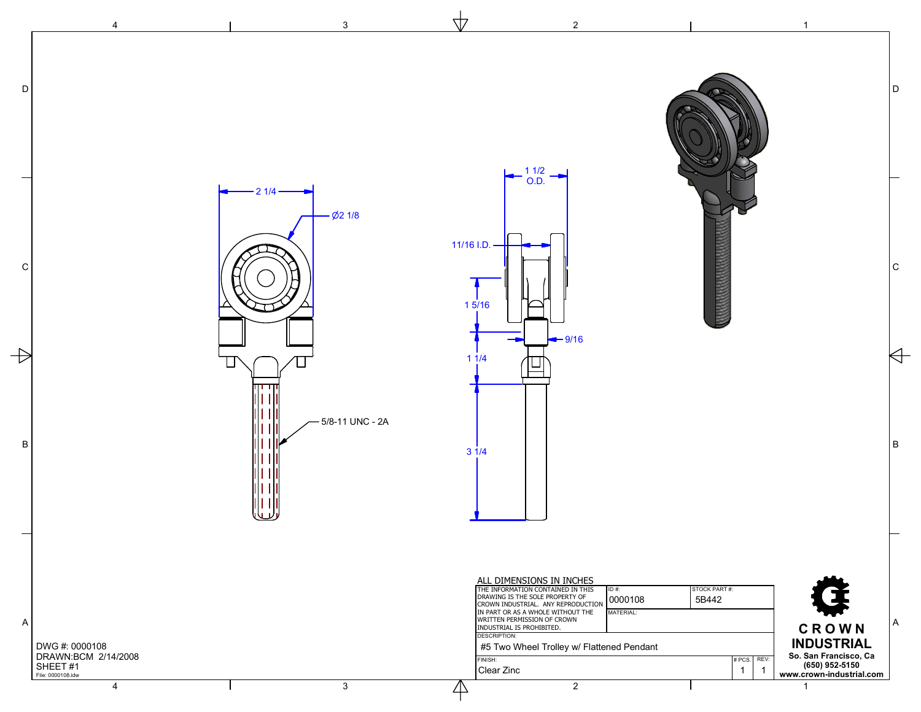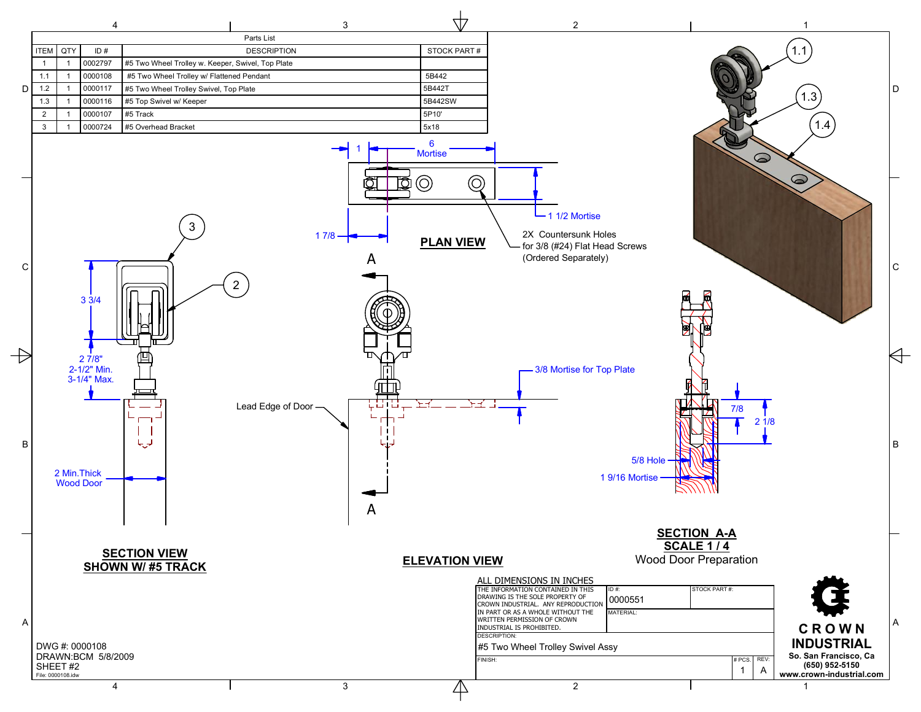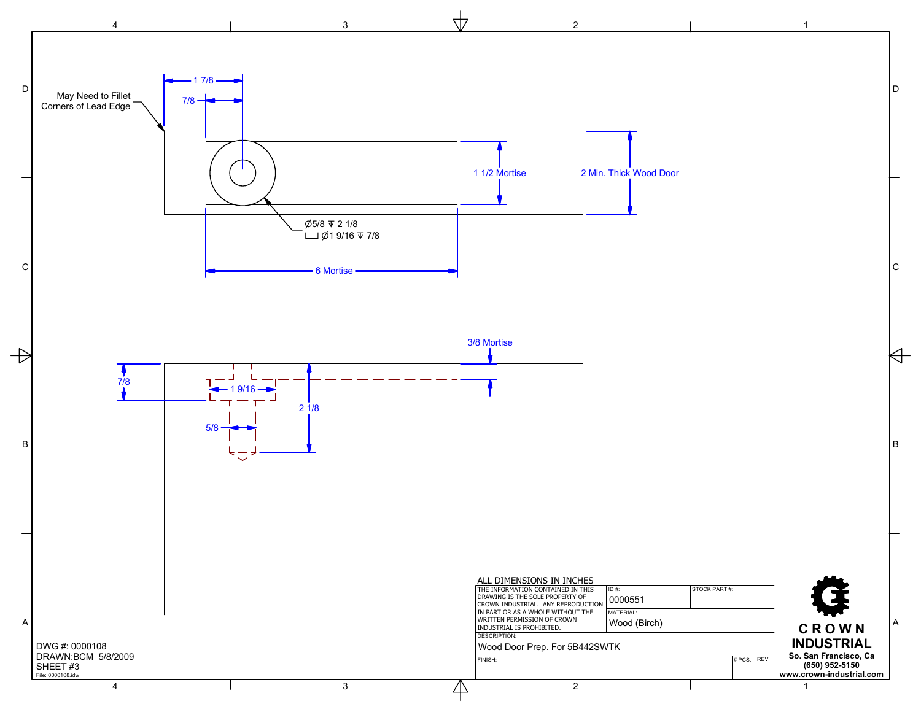